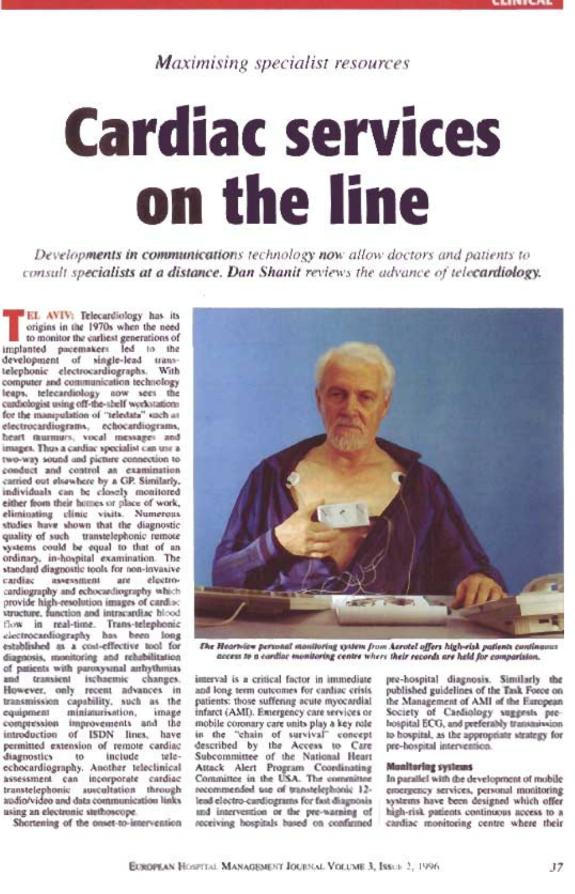# Maximising specialist resources

# Cardiac seruices on the line

Developments in communications technology now allow doctors and patients to consult specialists at a distance. Dan Shanit reviews the advance of telecardiology.

EL AVIV: Telecardiology has its origins in the 1970s when the need to monitor the earliest generations of implanted pacemakers led to the development of single-lead transtelephonic electrocardiographs. With computer and communication technology leaps, telecardiology now sees the cardiologist using off-the-shelf workstations for the manipulation of "teledata" such as electrocardiograms, echocardiograms, heart murmurs, vocal messages and images. Thus a cardiac specialist can use a two-way sound and picture connection to conduct and control an examination carried out elsewhere by a GP. Similarly, individuals can be closely monitored either from their homes or place of work, eliminating clinic visits. Numerous studies have shown that the diagnostic such transtelephonic remote could be equal to that of an ordinary, in-hospital examination. The standard diagnostic tools for non-invasive cardiac assessment are electrocardiography and echocardiography which provide high-resolution images of cardiac structure, function and intracardiac blood flow in real-time. Trans-telephonic electrocardiography has been long established as a cost-effective tool for estantisment as a cost-effective tool for *the H*<br>diagnosis, monitoring and rehabilitation as of patients with paroxysmal arrhythmias ansient ischaemic changes. imerval only recent advances in and-lo transmission capability, such as the equipment miniaturisation, image compression improvements and the introduction of ISDN lines, have permitted extension of remote cardiac descridiagnostics to include teleechocardiography. Another teleclinical assessment can incorporate cardiac transtelephonic auscultation through audio/video and data communication links using an electronic stethoscope.

E

Shortening of the onset-to-intervention



The Heartview penond monitoring system ftom Aerotel offers high.-risk patients continuous access to a cardiac monitoring centre where their records are held for comparision.

interval is a critical factor in immediate aad long ferm outcomes for cardiac crisis patients: those suffering acute myocardial infarct (AMI). Emergency care services or mobile coronary care units play a key role in the "chain of survival" concept by the Access to Care pre-ho nittee of the National Heart Attack Alert Program Coordinating Committee in the USA. The committee recommendbd use of transtelephonic 12 lead electro-cardiograms for fast diagnosis and intervention or the pre-warning of receiving hospitals based on confirmed

pre-hospital diagnosis. Similarly the published guidelines of the Task Force on the Management of AMI of the European Society of Cardiology suggests prehospital ECG, and preferably transmission to hospital, as the appropriate strategy for pre-hospital intervention.

### Monitoring systems

In parallel with the development of mobile emergency services, personal monitoring systems have been designed which offer high-risk patients continuous access to a cardiac monitoring centre where their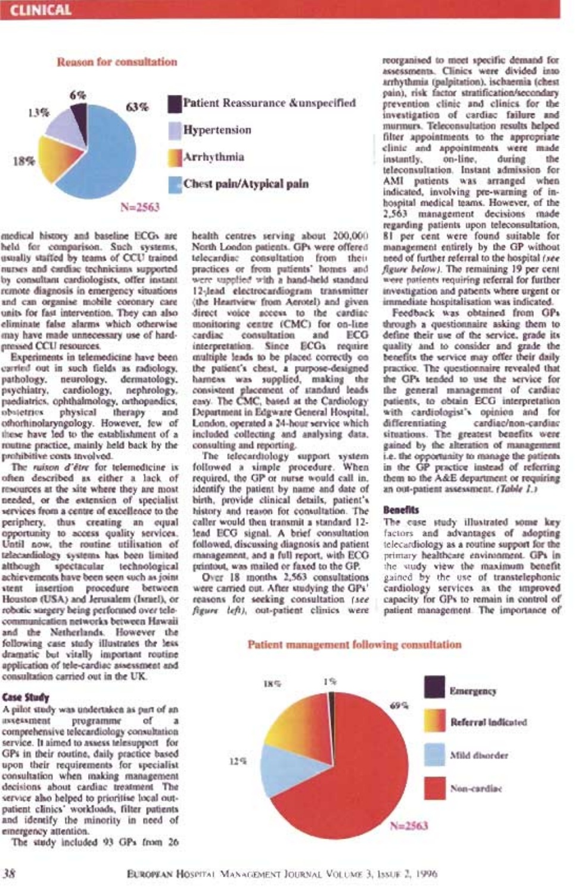# **CLINICAL**



medicai history and baseline ECGs are held for eomparison. Such systems, usually staffed by teams of CCU trained nurses and cardiac technicians supported by consultant cardiologists, offer instant remote diagnosis in emergency situations and can organise mobile coronary care units for fast intervention. They can also eliminate false alarms which otherwise may have made unnecessary use of hardpressed CCU resources.

Experiments in telemedicine have been carried out in such fields as radiology, pathology, neurology, dermatology, psychiatry, cardiology, nephrology. paediatrics, ophthalmology, orthopaedics, obstetrics physical therapy and othorhinolaryngology. However, few of these have led to the establishment of a routine practice, mainly held back by the prohibitive eosts involved.

The ruison d'être for telemedicine is often described as either a lack of resources at the site where they are most needed, or the extension of specialist services from a centre of excellence to the periphery, thus creating an equal opportunity to access quality services. Until now, the routine utilisation of telecardiology systems has been limited although spectacular technological achievements have been seen such asjoint stent insertion procedure between Houston (USA) and Jerusalem (Israel), or robotic surgery being perforrned over telecommunication networks between Hawaii and the Netherlands. However the following ease study illustrates the less dramatic but vitally important routine application of tele-cardiac assessment and consultation carried out in the UK.

### **Y**

A pilot study was undertaken as part of an assessment programme of a comprehensive telecardiology consultation service. It aimed to assess telesupport for GPs in their routine, daily practice based upon their requirements for specialist consultation when making management decisions about cardiac treatment. The service also helped to prioritise local outpatient clinics' workloads, filter patients and identify the minority in need of emergency attention.

The study included 93 GPs from 26

health centres serving about 200,000 North London patients. GPs were offered telecardiae consultation from their practices or from patients' homes and were supplied with a hand-held standard l2-,lead electrocardiogram transmitter (the Heartview from Aerotel) and given direct voice access to the cardiac monitoring centre (CMC) for on-line consultation and ECG interpretation. Since ECGs require multiple leads to be placed correctly on the patient's chest, a purpose-designed harness was supplied, making the consistent placement of standard leads easy. The CMC, based at the Cardiology Departmenl in Edgware General Hospital, London. operated a 24-hour service which differentiating included collecting and analysing data, consulting and reporting.

The telecardiology support system followed a simple procedure. When required, the GP or nurse would call in, identify the patient by name and date of birth, provide clinical details, patient's<br>bistory and reason for consultation. The **Benefits** history and reason for consultation. The caller would then transmit a standard 12 lead ECG signal. A brief consultation followed, discussing diagnosis and patient management, and a full report, with ECG printout, was mailed or faxed to the GP.

Over l8 months 2,563 consultations were carried out. After studying the GPs' reasons for seeking consultation (see figure left), out-patient clinics were reorganised to meet specific demand for assessments. Clinics were divided into arrhythmia (palpitation), ischaemia (chest pain), risk factor stratification/secondary prevention clinic and clinics for the investigation of cardiac failure and murmurs. Teleconsultation results helped filter appointments to the appropriate clinic and appointments were made instantly, on-line, during the teleconsultation. Instant admission for AMI patients was arranged when indicated, involving pre-warning of inhospital medical teams. However, of the 2,563 management decisions made regarding patients upon teleconsultation, '81 per cent were found suitable for management entirely by the GP without need of further referral to the hospital (see figure below). The remaining 19 per cent were patients requiring referral for further investigation and patients where urgent or immediate hospitalisation was indicated.

Feedback was obtained tiom GPs through a questionnaire asking them to define their use of the service, grade its quality and to consider and grade the benefits the service may offer their daily practice. The questionnaire revealed that the GPs tended to use the service for the general management of cardiac patients, to obtain ECG interpretation with cardiologist's opinion and for cardiac/non-cardiac situations. The greatest benefits were gained by the alteration of management i.e. the opportunity to manage the patients in the GP practice instead of referring them to the A&E department or requiring an out-patient assessment. (Table 1.)

The ease study illustrated some key factors and advantages of adopting telecardiology as a routine support for the primary healthcare envjronment. GPs in view the maximum benefit y the use of transtelephonic cardiology services as the improved capacity for GPs to remain in control of patient management. The importance of